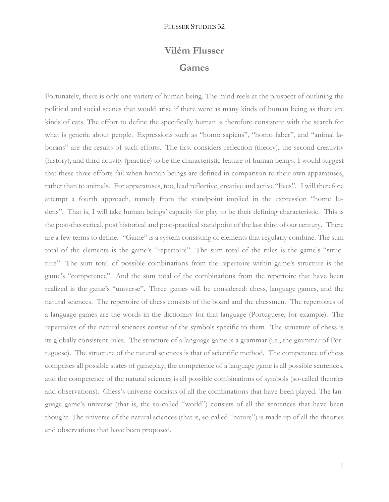## **Vilém Flusser Games**

Fortunately, there is only one variety of human being. The mind reels at the prospect of outlining the political and social scenes that would arise if there were as many kinds of human being as there are kinds of cats. The effort to define the specifically human is therefore consistent with the search for what is generic about people. Expressions such as "homo sapiens", "homo faber", and "animal laborans" are the results of such efforts. The first considers reflection (theory), the second creativity (history), and third activity (practice) to be the characteristic feature of human beings. I would suggest that these three efforts fail when human beings are defined in comparison to their own apparatuses, rather than to animals. For apparatuses, too, lead reflective, creative and active "lives". I will therefore attempt a fourth approach, namely from the standpoint implied in the expression "homo ludens". That is, I will take human beings' capacity for play to be their defining characteristic. This is the post-theoretical, post historical and post-practical standpoint of the last third of our century. There are a few terms to define. "Game" is a system consisting of elements that regularly combine. The sum total of the elements is the game's "repertoire". The sum total of the rules is the game's "structure". The sum total of possible combinations from the repertoire within game's structure is the game's "competence". And the sum total of the combinations from the repertoire that have been realized is the game's "universe". Three games will be considered: chess, language games, and the natural sciences. The repertoire of chess consists of the board and the chessmen. The repertoires of a language games are the words in the dictionary for that language (Portuguese, for example). The repertoires of the natural sciences consist of the symbols specific to them. The structure of chess is its globally consistent rules. The structure of a language game is a grammar (i.e., the grammar of Portuguese). The structure of the natural sciences is that of scientific method. The competence of chess comprises all possible states of gameplay, the competence of a language game is all possible sentences, and the competence of the natural sciences is all possible combinations of symbols (so-called theories and observations). Chess's universe consists of all the combinations that have been played. The language game's universe (that is, the so-called "world") consists of all the sentences that have been thought. The universe of the natural sciences (that is, so-called "nature") is made up of all the theories and observations that have been proposed.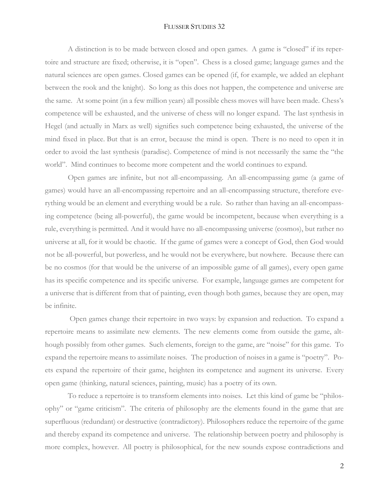## FLUSSER STUDIES 32

A distinction is to be made between closed and open games. A game is "closed" if its repertoire and structure are fixed; otherwise, it is "open". Chess is a closed game; language games and the natural sciences are open games. Closed games can be opened (if, for example, we added an elephant between the rook and the knight). So long as this does not happen, the competence and universe are the same. At some point (in a few million years) all possible chess moves will have been made. Chess's competence will be exhausted, and the universe of chess will no longer expand. The last synthesis in Hegel (and actually in Marx as well) signifies such competence being exhausted, the universe of the mind fixed in place. But that is an error, because the mind is open. There is no need to open it in order to avoid the last synthesis (paradise). Competence of mind is not necessarily the same the "the world". Mind continues to become more competent and the world continues to expand.

Open games are infinite, but not all-encompassing. An all-encompassing game (a game of games) would have an all-encompassing repertoire and an all-encompassing structure, therefore everything would be an element and everything would be a rule. So rather than having an all-encompassing competence (being all-powerful), the game would be incompetent, because when everything is a rule, everything is permitted. And it would have no all-encompassing universe (cosmos), but rather no universe at all, for it would be chaotic. If the game of games were a concept of God, then God would not be all-powerful, but powerless, and he would not be everywhere, but nowhere. Because there can be no cosmos (for that would be the universe of an impossible game of all games), every open game has its specific competence and its specific universe. For example, language games are competent for a universe that is different from that of painting, even though both games, because they are open, may be infinite.

Open games change their repertoire in two ways: by expansion and reduction. To expand a repertoire means to assimilate new elements. The new elements come from outside the game, although possibly from other games. Such elements, foreign to the game, are "noise" for this game. To expand the repertoire means to assimilate noises. The production of noises in a game is "poetry". Poets expand the repertoire of their game, heighten its competence and augment its universe. Every open game (thinking, natural sciences, painting, music) has a poetry of its own.

To reduce a repertoire is to transform elements into noises. Let this kind of game be "philosophy" or "game criticism". The criteria of philosophy are the elements found in the game that are superfluous (redundant) or destructive (contradictory). Philosophers reduce the repertoire of the game and thereby expand its competence and universe. The relationship between poetry and philosophy is more complex, however. All poetry is philosophical, for the new sounds expose contradictions and